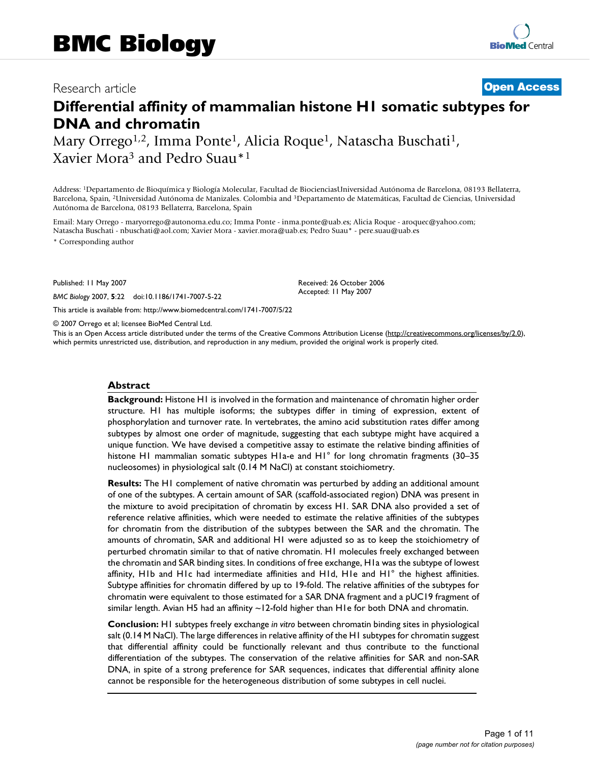# Research article **[Open Access](http://www.biomedcentral.com/info/about/charter/)**

# **Differential affinity of mammalian histone H1 somatic subtypes for DNA and chromatin**

Mary Orrego<sup>1,2</sup>, Imma Ponte<sup>1</sup>, Alicia Roque<sup>1</sup>, Natascha Buschati<sup>1</sup>, Xavier Mora3 and Pedro Suau\*1

Address: 1Departamento de Bioquímica y Biología Molecular, Facultad de BiocienciasUniversidad Autónoma de Barcelona, 08193 Bellaterra, Barcelona, Spain, 2Universidad Autónoma de Manizales. Colombia and 3Departamento de Matemáticas, Facultad de Ciencias, Universidad Autónoma de Barcelona, 08193 Bellaterra, Barcelona, Spain

Email: Mary Orrego - maryorrego@autonoma.edu.co; Imma Ponte - inma.ponte@uab.es; Alicia Roque - aroquec@yahoo.com; Natascha Buschati - nbuschati@aol.com; Xavier Mora - xavier.mora@uab.es; Pedro Suau\* - pere.suau@uab.es

\* Corresponding author

Published: 11 May 2007

*BMC Biology* 2007, **5**:22 doi:10.1186/1741-7007-5-22

[This article is available from: http://www.biomedcentral.com/1741-7007/5/22](http://www.biomedcentral.com/1741-7007/5/22)

© 2007 Orrego et al; licensee BioMed Central Ltd.

This is an Open Access article distributed under the terms of the Creative Commons Attribution License [\(http://creativecommons.org/licenses/by/2.0\)](http://creativecommons.org/licenses/by/2.0), which permits unrestricted use, distribution, and reproduction in any medium, provided the original work is properly cited.

Received: 26 October 2006 Accepted: 11 May 2007

#### **Abstract**

**Background:** Histone H1 is involved in the formation and maintenance of chromatin higher order structure. H1 has multiple isoforms; the subtypes differ in timing of expression, extent of phosphorylation and turnover rate. In vertebrates, the amino acid substitution rates differ among subtypes by almost one order of magnitude, suggesting that each subtype might have acquired a unique function. We have devised a competitive assay to estimate the relative binding affinities of histone H1 mammalian somatic subtypes H1a-e and H1° for long chromatin fragments (30–35 nucleosomes) in physiological salt (0.14 M NaCl) at constant stoichiometry.

**Results:** The H1 complement of native chromatin was perturbed by adding an additional amount of one of the subtypes. A certain amount of SAR (scaffold-associated region) DNA was present in the mixture to avoid precipitation of chromatin by excess H1. SAR DNA also provided a set of reference relative affinities, which were needed to estimate the relative affinities of the subtypes for chromatin from the distribution of the subtypes between the SAR and the chromatin. The amounts of chromatin, SAR and additional H1 were adjusted so as to keep the stoichiometry of perturbed chromatin similar to that of native chromatin. H1 molecules freely exchanged between the chromatin and SAR binding sites. In conditions of free exchange, H1a was the subtype of lowest affinity, H1b and H1c had intermediate affinities and H1d, H1e and H1° the highest affinities. Subtype affinities for chromatin differed by up to 19-fold. The relative affinities of the subtypes for chromatin were equivalent to those estimated for a SAR DNA fragment and a pUC19 fragment of similar length. Avian H5 had an affinity ~12-fold higher than H1e for both DNA and chromatin.

**Conclusion:** H1 subtypes freely exchange *in vitro* between chromatin binding sites in physiological salt (0.14 M NaCl). The large differences in relative affinity of the H1 subtypes for chromatin suggest that differential affinity could be functionally relevant and thus contribute to the functional differentiation of the subtypes. The conservation of the relative affinities for SAR and non-SAR DNA, in spite of a strong preference for SAR sequences, indicates that differential affinity alone cannot be responsible for the heterogeneous distribution of some subtypes in cell nuclei.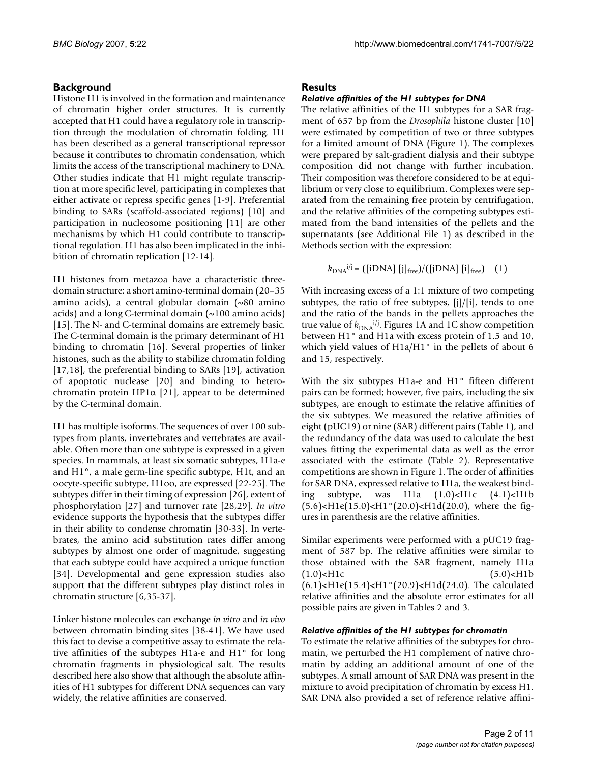# **Background**

Histone H1 is involved in the formation and maintenance of chromatin higher order structures. It is currently accepted that H1 could have a regulatory role in transcription through the modulation of chromatin folding. H1 has been described as a general transcriptional repressor because it contributes to chromatin condensation, which limits the access of the transcriptional machinery to DNA. Other studies indicate that H1 might regulate transcription at more specific level, participating in complexes that either activate or repress specific genes [1-9]. Preferential binding to SARs (scaffold-associated regions) [10] and participation in nucleosome positioning [11] are other mechanisms by which H1 could contribute to transcriptional regulation. H1 has also been implicated in the inhibition of chromatin replication [12-14].

H1 histones from metazoa have a characteristic threedomain structure: a short amino-terminal domain (20–35 amino acids), a central globular domain (~80 amino acids) and a long C-terminal domain  $(\sim 100 \text{ amino acids})$ [15]. The N- and C-terminal domains are extremely basic. The C-terminal domain is the primary determinant of H1 binding to chromatin [16]. Several properties of linker histones, such as the ability to stabilize chromatin folding [17,18], the preferential binding to SARs [19], activation of apoptotic nuclease [20] and binding to heterochromatin protein HP1 $\alpha$  [21], appear to be determined by the C-terminal domain.

H1 has multiple isoforms. The sequences of over 100 subtypes from plants, invertebrates and vertebrates are available. Often more than one subtype is expressed in a given species. In mammals, at least six somatic subtypes, H1a-e and H1°, a male germ-line specific subtype, H1t, and an oocyte-specific subtype, H1oo, are expressed [22-25]. The subtypes differ in their timing of expression [26], extent of phosphorylation [27] and turnover rate [28,29]. *In vitro* evidence supports the hypothesis that the subtypes differ in their ability to condense chromatin [30-33]. In vertebrates, the amino acid substitution rates differ among subtypes by almost one order of magnitude, suggesting that each subtype could have acquired a unique function [34]. Developmental and gene expression studies also support that the different subtypes play distinct roles in chromatin structure [6,35-37].

Linker histone molecules can exchange *in vitro* and *in vivo* between chromatin binding sites [38-41]. We have used this fact to devise a competitive assay to estimate the relative affinities of the subtypes H1a-e and H1° for long chromatin fragments in physiological salt. The results described here also show that although the absolute affinities of H1 subtypes for different DNA sequences can vary widely, the relative affinities are conserved.

# **Results**

#### *Relative affinities of the H1 subtypes for DNA*

The relative affinities of the H1 subtypes for a SAR fragment of 657 bp from the *Drosophila* histone cluster [10] were estimated by competition of two or three subtypes for a limited amount of DNA (Figure 1). The complexes were prepared by salt-gradient dialysis and their subtype composition did not change with further incubation. Their composition was therefore considered to be at equilibrium or very close to equilibrium. Complexes were separated from the remaining free protein by centrifugation, and the relative affinities of the competing subtypes estimated from the band intensities of the pellets and the supernatants (see Additional File 1) as described in the Methods section with the expression:

$$
k_{\text{DNA}}^{i/j} = \left( \frac{[iDNA]}{[j]_{\text{free}}}/([jDNA] [i]_{\text{free}} \right) \quad (1)
$$

With increasing excess of a 1:1 mixture of two competing subtypes, the ratio of free subtypes, [j]/[i], tends to one and the ratio of the bands in the pellets approaches the true value of  $k_{\text{DNA}}$ <sup>*i*/j</sup>. Figures 1A and 1C show competition between H1° and H1a with excess protein of 1.5 and 10, which yield values of H1a/H1° in the pellets of about 6 and 15, respectively.

With the six subtypes H1a-e and H1° fifteen different pairs can be formed; however, five pairs, including the six subtypes, are enough to estimate the relative affinities of the six subtypes. We measured the relative affinities of eight (pUC19) or nine (SAR) different pairs (Table 1), and the redundancy of the data was used to calculate the best values fitting the experimental data as well as the error associated with the estimate (Table 2). Representative competitions are shown in Figure 1. The order of affinities for SAR DNA, expressed relative to H1a, the weakest binding subtype, was  $H1a$   $(1.0)$  <  $H1c$   $(4.1)$  <  $H1b$  $(5.6)$  < H1e $(15.0)$  < H1<sup>o</sup> $(20.0)$  < H1d $(20.0)$ , where the figures in parenthesis are the relative affinities.

Similar experiments were performed with a pUC19 fragment of 587 bp. The relative affinities were similar to those obtained with the SAR fragment, namely H1a (1.0)<H1c (5.0)<H1b (6.1)<H1e(15.4)<H1°(20.9)<H1d(24.0). The calculated relative affinities and the absolute error estimates for all possible pairs are given in Tables 2 and 3.

#### *Relative affinities of the H1 subtypes for chromatin*

To estimate the relative affinities of the subtypes for chromatin, we perturbed the H1 complement of native chromatin by adding an additional amount of one of the subtypes. A small amount of SAR DNA was present in the mixture to avoid precipitation of chromatin by excess H1. SAR DNA also provided a set of reference relative affini-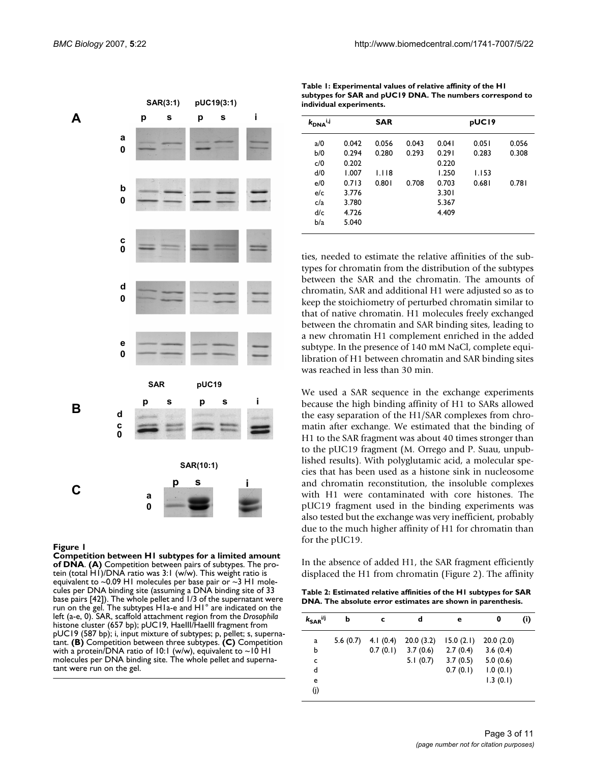|             |                                            |               | SAR(3:1) |           | pUC19(3:1) |   |
|-------------|--------------------------------------------|---------------|----------|-----------|------------|---|
| A           |                                            | p             | S        | p         | S          | i |
|             | a<br>$\mathbf 0$                           |               |          |           |            |   |
|             | b<br>0                                     |               |          |           |            |   |
|             | $\begin{array}{c} c \\ 0 \end{array}$      |               |          |           |            |   |
|             | d<br>$\mathbf 0$                           |               |          |           |            |   |
|             | e<br>$\mathbf 0$                           |               |          |           |            |   |
|             |                                            | <b>SAR</b>    |          | pUC19     |            |   |
| $\mathsf B$ | d<br>$\begin{array}{c} 0 \\ 0 \end{array}$ | p             | S        | p         | S          | i |
|             |                                            |               |          | SAR(10:1) |            |   |
| Ć           |                                            | a<br>$\bf{0}$ | p        | S         |            | İ |

**Figure 1** and  $\overline{P}$  and  $\overline{P}$  and  $\overline{P}$  and  $\overline{P}$  and  $\overline{P}$  and  $\overline{P}$  amount of amount of amount of  $\overline{P}$ 

**Competition between H1 subtypes for a limited amount of DNA**. **(A)** Competition between pairs of subtypes. The protein (total H1)/DNA ratio was 3:1 (w/w). This weight ratio is equivalent to  $\sim$ 0.09 H1 molecules per base pair or  $\sim$ 3 H1 molecules per DNA binding site (assuming a DNA binding site of 33 base pairs [42]). The whole pellet and 1/3 of the supernatant were run on the gel. The subtypes H1a-e and H1° are indicated on the left (a-e, 0). SAR, scaffold attachment region from the *Drosophila*  histone cluster (657 bp); pUC19, HaeIII/HaeIII fragment from pUC19 (587 bp); i, input mixture of subtypes; p, pellet; s, supernatant. **(B)** Competition between three subtypes. **(C)** Competition with a protein/DNA ratio of 10:1 (w/w), equivalent to ~10 H1 molecules per DNA binding site. The whole pellet and supernatant were run on the gel.

| $k_{\text{DNA}}$ i,j |       | <b>SAR</b> |       |       | pUC19 |       |
|----------------------|-------|------------|-------|-------|-------|-------|
| a/0                  | 0.042 | 0.056      | 0.043 | 0.041 | 0.051 | 0.056 |
| b/0                  | 0.294 | 0.280      | 0.293 | 0.291 | 0.283 | 0.308 |
| c/0                  | 0.202 |            |       | 0.220 |       |       |
| d/0                  | 1.007 | 1.118      |       | 1.250 | 1.153 |       |
| e/0                  | 0.713 | 0.801      | 0.708 | 0.703 | 0.681 | 0.781 |
| e/c                  | 3.776 |            |       | 3.301 |       |       |
| c/a                  | 3.780 |            |       | 5.367 |       |       |
| d/c                  | 4.726 |            |       | 4.409 |       |       |
| b/a                  | 5.040 |            |       |       |       |       |

**Table 1: Experimental values of relative affinity of the H1 subtypes for SAR and pUC19 DNA. The numbers correspond to** 

**individual experiments.**

ties, needed to estimate the relative affinities of the subtypes for chromatin from the distribution of the subtypes between the SAR and the chromatin. The amounts of chromatin, SAR and additional H1 were adjusted so as to keep the stoichiometry of perturbed chromatin similar to that of native chromatin. H1 molecules freely exchanged between the chromatin and SAR binding sites, leading to a new chromatin H1 complement enriched in the added subtype. In the presence of 140 mM NaCl, complete equilibration of H1 between chromatin and SAR binding sites was reached in less than 30 min.

We used a SAR sequence in the exchange experiments because the high binding affinity of H1 to SARs allowed the easy separation of the H1/SAR complexes from chromatin after exchange. We estimated that the binding of H1 to the SAR fragment was about 40 times stronger than to the pUC19 fragment (M. Orrego and P. Suau, unpublished results). With polyglutamic acid, a molecular species that has been used as a histone sink in nucleosome and chromatin reconstitution, the insoluble complexes with H1 were contaminated with core histones. The pUC19 fragment used in the binding experiments was also tested but the exchange was very inefficient, probably due to the much higher affinity of H1 for chromatin than for the pUC19.

In the absence of added H1, the SAR fragment efficiently displaced the H1 from chromatin (Figure 2). The affinity

**Table 2: Estimated relative affinities of the H1 subtypes for SAR DNA. The absolute error estimates are shown in parenthesis.**

| $k_{\mathsf{SAR}}$ i/j | b        | c           | d         | е         | 0         | (i) |
|------------------------|----------|-------------|-----------|-----------|-----------|-----|
| a                      | 5.6(0.7) | 4.1 $(0.4)$ | 20.0(3.2) | 15.0(2.1) | 20.0(2.0) |     |
| b                      |          | 0.7(0.1)    | 3.7(0.6)  | 2.7(0.4)  | 3.6(0.4)  |     |
| c                      |          |             | 5.1(0.7)  | 3.7(0.5)  | 5.0(0.6)  |     |
| d                      |          |             |           | 0.7(0.1)  | 1.0(0.1)  |     |
| e                      |          |             |           |           | 1.3(0.1)  |     |
| (j)                    |          |             |           |           |           |     |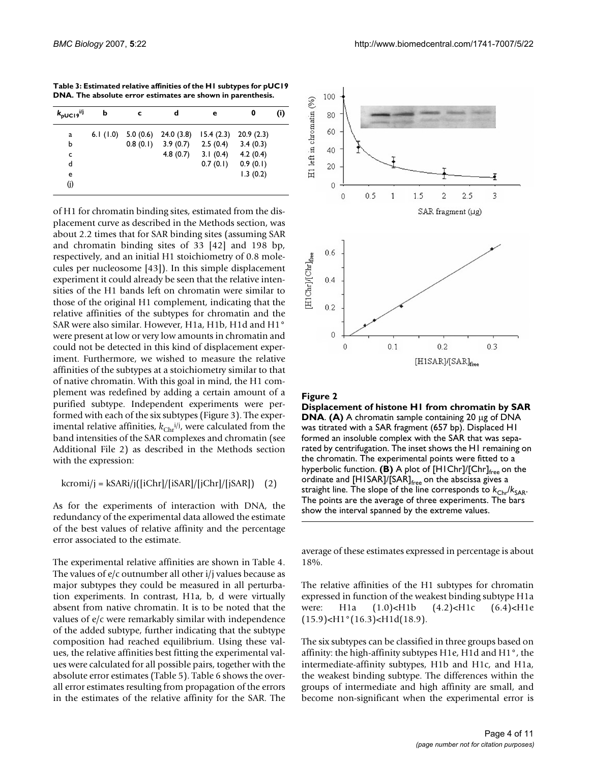**Table 3: Estimated relative affinities of the H1 subtypes for pUC19 DNA. The absolute error estimates are shown in parenthesis.**

| $k_{\text{pUC19}}$ <sup>i/j</sup> | b           | c        | d         | е         | 0         | (i) |
|-----------------------------------|-------------|----------|-----------|-----------|-----------|-----|
| a                                 | 6.1 $(1.0)$ | 5.0(0.6) | 24.0(3.8) | 15.4(2.3) | 20.9(2.3) |     |
| ь                                 |             | 0.8(0.1) | 3.9(0.7)  | 2.5(0.4)  | 3.4(0.3)  |     |
| c                                 |             |          | 4.8(0.7)  | 3.1(0.4)  | 4.2(0.4)  |     |
| d                                 |             |          |           | 0.7(0.1)  | 0.9(0.1)  |     |
| e                                 |             |          |           |           | 1.3(0.2)  |     |
| (j)                               |             |          |           |           |           |     |

of H1 for chromatin binding sites, estimated from the displacement curve as described in the Methods section, was about 2.2 times that for SAR binding sites (assuming SAR and chromatin binding sites of 33 [42] and 198 bp, respectively, and an initial H1 stoichiometry of 0.8 molecules per nucleosome [43]). In this simple displacement experiment it could already be seen that the relative intensities of the H1 bands left on chromatin were similar to those of the original H1 complement, indicating that the relative affinities of the subtypes for chromatin and the SAR were also similar. However, H1a, H1b, H1d and H1° were present at low or very low amounts in chromatin and could not be detected in this kind of displacement experiment. Furthermore, we wished to measure the relative affinities of the subtypes at a stoichiometry similar to that of native chromatin. With this goal in mind, the H1 complement was redefined by adding a certain amount of a purified subtype. Independent experiments were performed with each of the six subtypes (Figure 3). The experimental relative affinities,  $k_{\text{Chr}}^{i/j}$ , were calculated from the band intensities of the SAR complexes and chromatin (see Additional File 2) as described in the Methods section with the expression:

$$
kcromi/j = kSARij([iChr]/[iSAR]/[jChr]/[jSAR])
$$
 (2)

As for the experiments of interaction with DNA, the redundancy of the experimental data allowed the estimate of the best values of relative affinity and the percentage error associated to the estimate.

The experimental relative affinities are shown in Table 4. The values of e/c outnumber all other i/j values because as major subtypes they could be measured in all perturbation experiments. In contrast, H1a, b, d were virtually absent from native chromatin. It is to be noted that the values of e/c were remarkably similar with independence of the added subtype, further indicating that the subtype composition had reached equilibrium. Using these values, the relative affinities best fitting the experimental values were calculated for all possible pairs, together with the absolute error estimates (Table 5). Table 6 shows the overall error estimates resulting from propagation of the errors in the estimates of the relative affinity for the SAR. The



#### Figure 2

**Displacement of histone H1 from chromatin by SAR DNA**. **(A)** A chromatin sample containing 20 μg of DNA was titrated with a SAR fragment (657 bp). Displaced H1 formed an insoluble complex with the SAR that was separated by centrifugation. The inset shows the H1 remaining on the chromatin. The experimental points were fitted to a hyperbolic function. **(B)** A plot of [H1Chr]/[Chr]<sub>free</sub> on the ordinate and  $[HISAR]/[SAR]_{free}$  on the abscissa gives a straight line. The slope of the line corresponds to  $k_{\text{Chr}}/k_{\text{SAR}}$ . The points are the average of three experiments. The bars show the interval spanned by the extreme values.

average of these estimates expressed in percentage is about 18%.

The relative affinities of the H1 subtypes for chromatin expressed in function of the weakest binding subtype H1a were: H1a (1.0)<H1b (4.2)<H1c (6.4)<H1e  $(15.9)$  < H $1^{\circ}(16.3)$  < H $1d(18.9)$ .

The six subtypes can be classified in three groups based on affinity: the high-affinity subtypes H1e, H1d and H1°, the intermediate-affinity subtypes, H1b and H1c, and H1a, the weakest binding subtype. The differences within the groups of intermediate and high affinity are small, and become non-significant when the experimental error is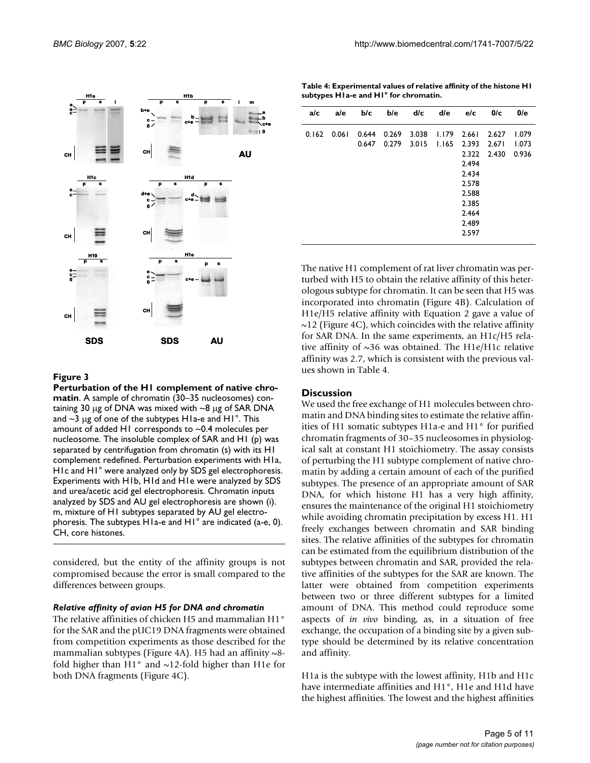

**Figure 3** 

**Perturbation of the H1 complement of native chromatin**. A sample of chromatin (30–35 nucleosomes) containing 30 μg of DNA was mixed with ~8 μg of SAR DNA and  $\sim$ 3 μg of one of the subtypes H1a-e and H1 $\degree$ . This amount of added H1 corresponds to ~0.4 molecules per nucleosome. The insoluble complex of SAR and H1 (p) was separated by centrifugation from chromatin (s) with its H1 complement redefined. Perturbation experiments with H1a, H1c and H1° were analyzed only by SDS gel electrophoresis. Experiments with H1b, H1d and H1e were analyzed by SDS and urea/acetic acid gel electrophoresis. Chromatin inputs analyzed by SDS and AU gel electrophoresis are shown (i). m, mixture of H1 subtypes separated by AU gel electrophoresis. The subtypes H1a-e and H1° are indicated (a-e, 0). CH, core histones.

considered, but the entity of the affinity groups is not compromised because the error is small compared to the differences between groups.

#### *Relative affinity of avian H5 for DNA and chromatin*

The relative affinities of chicken H5 and mammalian H1° for the SAR and the pUC19 DNA fragments were obtained from competition experiments as those described for the mammalian subtypes (Figure 4A). H5 had an affinity  $\sim$ 8fold higher than H1° and ~12-fold higher than H1e for both DNA fragments (Figure 4C).

**Table 4: Experimental values of relative affinity of the histone H1 subtypes H1a-e and H1° for chromatin.**

| a/c   | a/e   | b/c   | b/e   | d/c   | d/e   | e/c   | 0/c   | 0/e   |
|-------|-------|-------|-------|-------|-------|-------|-------|-------|
| 0.162 | 0.061 | 0.644 | 0.269 | 3.038 | 1.179 | 2.661 | 2.627 | 1.079 |
|       |       | 0.647 | 0.279 | 3.015 | 1.165 | 2.393 | 2.671 | 1.073 |
|       |       |       |       |       |       | 2.322 | 2.430 | 0.936 |
|       |       |       |       |       |       | 2.494 |       |       |
|       |       |       |       |       |       | 2.434 |       |       |
|       |       |       |       |       |       | 2.578 |       |       |
|       |       |       |       |       |       | 2.588 |       |       |
|       |       |       |       |       |       | 2.385 |       |       |
|       |       |       |       |       |       | 2.464 |       |       |
|       |       |       |       |       |       | 2.489 |       |       |
|       |       |       |       |       |       | 2.597 |       |       |

The native H1 complement of rat liver chromatin was perturbed with H5 to obtain the relative affinity of this heterologous subtype for chromatin. It can be seen that H5 was incorporated into chromatin (Figure 4B). Calculation of H1e/H5 relative affinity with Equation 2 gave a value of  $\sim$ 12 (Figure 4C), which coincides with the relative affinity for SAR DNA. In the same experiments, an H1c/H5 relative affinity of  $\sim$ 36 was obtained. The H1e/H1c relative affinity was 2.7, which is consistent with the previous values shown in Table 4.

#### **Discussion**

We used the free exchange of H1 molecules between chromatin and DNA binding sites to estimate the relative affinities of H1 somatic subtypes H1a-e and H1° for purified chromatin fragments of 30–35 nucleosomes in physiological salt at constant H1 stoichiometry. The assay consists of perturbing the H1 subtype complement of native chromatin by adding a certain amount of each of the purified subtypes. The presence of an appropriate amount of SAR DNA, for which histone H1 has a very high affinity, ensures the maintenance of the original H1 stoichiometry while avoiding chromatin precipitation by excess H1. H1 freely exchanges between chromatin and SAR binding sites. The relative affinities of the subtypes for chromatin can be estimated from the equilibrium distribution of the subtypes between chromatin and SAR, provided the relative affinities of the subtypes for the SAR are known. The latter were obtained from competition experiments between two or three different subtypes for a limited amount of DNA. This method could reproduce some aspects of *in vivo* binding, as, in a situation of free exchange, the occupation of a binding site by a given subtype should be determined by its relative concentration and affinity.

H1a is the subtype with the lowest affinity, H1b and H1c have intermediate affinities and H1°, H1e and H1d have the highest affinities. The lowest and the highest affinities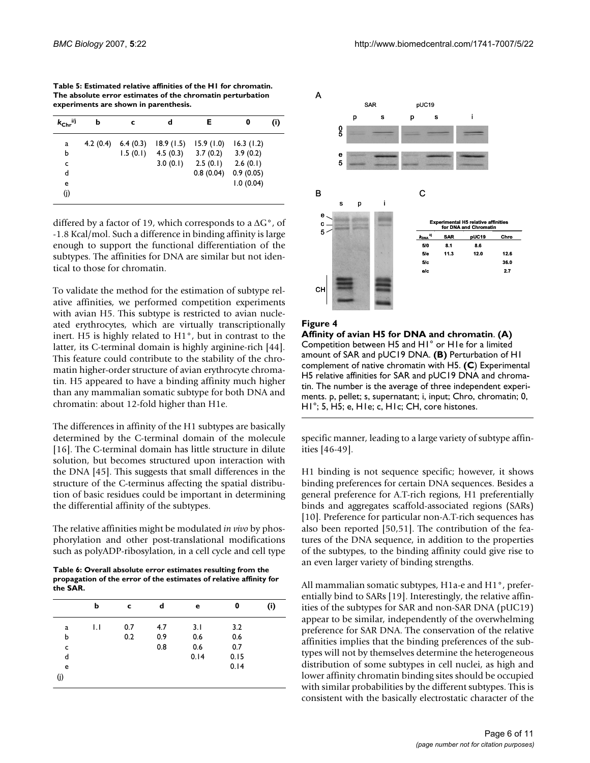**Table 5: Estimated relative affinities of the H1 for chromatin. The absolute error estimates of the chromatin perturbation experiments are shown in parenthesis.**

| $k_{\text{Chr}}$ <sup>i/j</sup> | b        | c        | d         | Е         | 0         | (i) |
|---------------------------------|----------|----------|-----------|-----------|-----------|-----|
| a                               | 4.2(0.4) | 6.4(0.3) | 18.9(1.5) | 15.9(1.0) | 16.3(1.2) |     |
| ь                               |          | 1.5(0.1) | 4.5(0.3)  | 3.7(0.2)  | 3.9(0.2)  |     |
| c                               |          |          | 3.0(0.1)  | 2.5(0.1)  | 2.6(0.1)  |     |
| d                               |          |          |           | 0.8(0.04) | 0.9(0.05) |     |
| е                               |          |          |           |           | 1.0(0.04) |     |
| (i)                             |          |          |           |           |           |     |

differed by a factor of 19, which corresponds to a  $\Delta G^{\circ}$ , of -1.8 Kcal/mol. Such a difference in binding affinity is large enough to support the functional differentiation of the subtypes. The affinities for DNA are similar but not identical to those for chromatin.

To validate the method for the estimation of subtype relative affinities, we performed competition experiments with avian H5. This subtype is restricted to avian nucleated erythrocytes, which are virtually transcriptionally inert. H5 is highly related to H1°, but in contrast to the latter, its C-terminal domain is highly arginine-rich [44]. This feature could contribute to the stability of the chromatin higher-order structure of avian erythrocyte chromatin. H5 appeared to have a binding affinity much higher than any mammalian somatic subtype for both DNA and chromatin: about 12-fold higher than H1e.

The differences in affinity of the H1 subtypes are basically determined by the C-terminal domain of the molecule [16]. The C-terminal domain has little structure in dilute solution, but becomes structured upon interaction with the DNA [45]. This suggests that small differences in the structure of the C-terminus affecting the spatial distribution of basic residues could be important in determining the differential affinity of the subtypes.

The relative affinities might be modulated *in vivo* by phosphorylation and other post-translational modifications such as polyADP-ribosylation, in a cell cycle and cell type

**Table 6: Overall absolute error estimates resulting from the propagation of the error of the estimates of relative affinity for the SAR.**

|     | b            | c   | d   | е    | 0    | (i) |
|-----|--------------|-----|-----|------|------|-----|
| a   | $\mathsf{L}$ | 0.7 | 4.7 | 3.1  | 3.2  |     |
| b   |              | 0.2 | 0.9 | 0.6  | 0.6  |     |
| c   |              |     | 0.8 | 0.6  | 0.7  |     |
| d   |              |     |     | 0.14 | 0.15 |     |
| e   |              |     |     |      | 0.14 |     |
| (j) |              |     |     |      |      |     |



#### **Figure 4**

**Affinity of avian H5 for DNA and chromatin**. **(A)**  Competition between H5 and H1° or H1e for a limited amount of SAR and pUC19 DNA. **(B)** Perturbation of H1 complement of native chromatin with H5. **(C**) Experimental H5 relative affinities for SAR and pUC19 DNA and chromatin. The number is the average of three independent experiments. p, pellet; s, supernatant; i, input; Chro, chromatin; 0, H1°; 5, H5; e, H1e; c, H1c; CH, core histones.

specific manner, leading to a large variety of subtype affinities [46-49].

H1 binding is not sequence specific; however, it shows binding preferences for certain DNA sequences. Besides a general preference for A.T-rich regions, H1 preferentially binds and aggregates scaffold-associated regions (SARs) [10]. Preference for particular non-A.T-rich sequences has also been reported [50,51]. The contribution of the features of the DNA sequence, in addition to the properties of the subtypes, to the binding affinity could give rise to an even larger variety of binding strengths.

All mammalian somatic subtypes, H1a-e and H1°, preferentially bind to SARs [19]. Interestingly, the relative affinities of the subtypes for SAR and non-SAR DNA (pUC19) appear to be similar, independently of the overwhelming preference for SAR DNA. The conservation of the relative affinities implies that the binding preferences of the subtypes will not by themselves determine the heterogeneous distribution of some subtypes in cell nuclei, as high and lower affinity chromatin binding sites should be occupied with similar probabilities by the different subtypes. This is consistent with the basically electrostatic character of the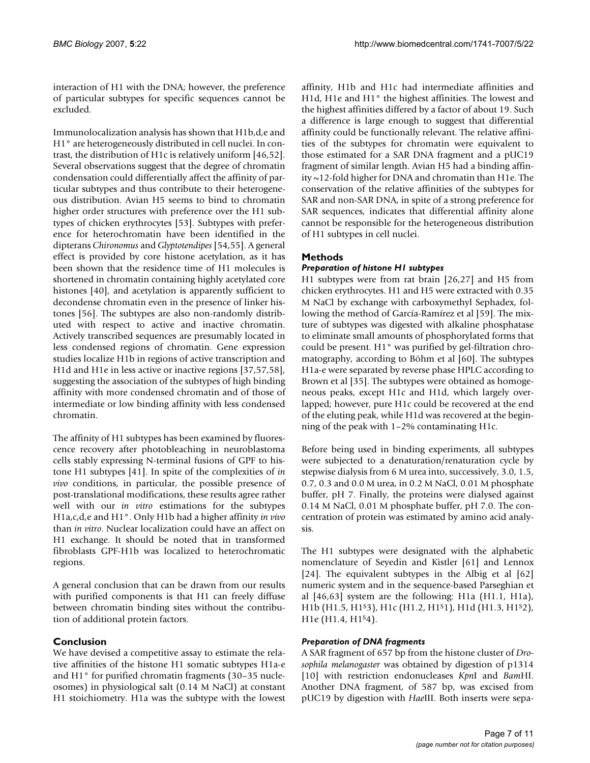interaction of H1 with the DNA; however, the preference of particular subtypes for specific sequences cannot be excluded.

Immunolocalization analysis has shown that H1b,d,e and H1° are heterogeneously distributed in cell nuclei. In contrast, the distribution of H1c is relatively uniform [46,52]. Several observations suggest that the degree of chromatin condensation could differentially affect the affinity of particular subtypes and thus contribute to their heterogeneous distribution. Avian H5 seems to bind to chromatin higher order structures with preference over the H1 subtypes of chicken erythrocytes [53]. Subtypes with preference for heterochromatin have been identified in the dipterans *Chironomus* and *Glyptotendipes* [54,55]. A general effect is provided by core histone acetylation, as it has been shown that the residence time of H1 molecules is shortened in chromatin containing highly acetylated core histones [40], and acetylation is apparently sufficient to decondense chromatin even in the presence of linker histones [56]. The subtypes are also non-randomly distributed with respect to active and inactive chromatin. Actively transcribed sequences are presumably located in less condensed regions of chromatin. Gene expression studies localize H1b in regions of active transcription and H1d and H1e in less active or inactive regions [37,57,58], suggesting the association of the subtypes of high binding affinity with more condensed chromatin and of those of intermediate or low binding affinity with less condensed chromatin.

The affinity of H1 subtypes has been examined by fluorescence recovery after photobleaching in neuroblastoma cells stably expressing N-terminal fusions of GPF to histone H1 subtypes [41]. In spite of the complexities of *in vivo* conditions, in particular, the possible presence of post-translational modifications, these results agree rather well with our *in vitro* estimations for the subtypes H1a,c,d,e and H1°. Only H1b had a higher affinity *in vivo* than *in vitro*. Nuclear localization could have an affect on H1 exchange. It should be noted that in transformed fibroblasts GPF-H1b was localized to heterochromatic regions.

A general conclusion that can be drawn from our results with purified components is that H1 can freely diffuse between chromatin binding sites without the contribution of additional protein factors.

# **Conclusion**

We have devised a competitive assay to estimate the relative affinities of the histone H1 somatic subtypes H1a-e and H1° for purified chromatin fragments (30–35 nucleosomes) in physiological salt (0.14 M NaCl) at constant H1 stoichiometry. H1a was the subtype with the lowest

affinity, H1b and H1c had intermediate affinities and H1d, H1e and H1° the highest affinities. The lowest and the highest affinities differed by a factor of about 19. Such a difference is large enough to suggest that differential affinity could be functionally relevant. The relative affinities of the subtypes for chromatin were equivalent to those estimated for a SAR DNA fragment and a pUC19 fragment of similar length. Avian H5 had a binding affinity ~12-fold higher for DNA and chromatin than H1e. The conservation of the relative affinities of the subtypes for SAR and non-SAR DNA, in spite of a strong preference for SAR sequences, indicates that differential affinity alone cannot be responsible for the heterogeneous distribution of H1 subtypes in cell nuclei.

# **Methods**

# *Preparation of histone H1 subtypes*

H1 subtypes were from rat brain [26,27] and H5 from chicken erythrocytes. H1 and H5 were extracted with 0.35 M NaCl by exchange with carboxymethyl Sephadex, following the method of García-Ramírez et al [59]. The mixture of subtypes was digested with alkaline phosphatase to eliminate small amounts of phosphorylated forms that could be present. H1° was purified by gel-filtration chromatography, according to Böhm et al [60]. The subtypes H1a-e were separated by reverse phase HPLC according to Brown et al [35]. The subtypes were obtained as homogeneous peaks, except H1c and H1d, which largely overlapped; however, pure H1c could be recovered at the end of the eluting peak, while H1d was recovered at the beginning of the peak with 1–2% contaminating H1c.

Before being used in binding experiments, all subtypes were subjected to a denaturation/renaturation cycle by stepwise dialysis from 6 M urea into, successively, 3.0, 1.5, 0.7, 0.3 and 0.0 M urea, in 0.2 M NaCl, 0.01 M phosphate buffer, pH 7. Finally, the proteins were dialysed against 0.14 M NaCl, 0.01 M phosphate buffer, pH 7.0. The concentration of protein was estimated by amino acid analysis.

The H1 subtypes were designated with the alphabetic nomenclature of Seyedin and Kistler [61] and Lennox [24]. The equivalent subtypes in the Albig et al [62] numeric system and in the sequence-based Parseghian et al [46,63] system are the following: H1a (H1.1, H1a), H1b (H1.5, H1S3), H1c (H1.2, H1S1), H1d (H1.3, H1S2), H<sub>1</sub>e (H<sub>1.4</sub>, H<sub>1</sub><sup>s</sup><sub>4</sub>).

### *Preparation of DNA fragments*

A SAR fragment of 657 bp from the histone cluster of *Drosophila melanogaster* was obtained by digestion of p1314 [10] with restriction endonucleases *Kpn*I and *Bam*HI. Another DNA fragment, of 587 bp, was excised from pUC19 by digestion with *Hae*III. Both inserts were sepa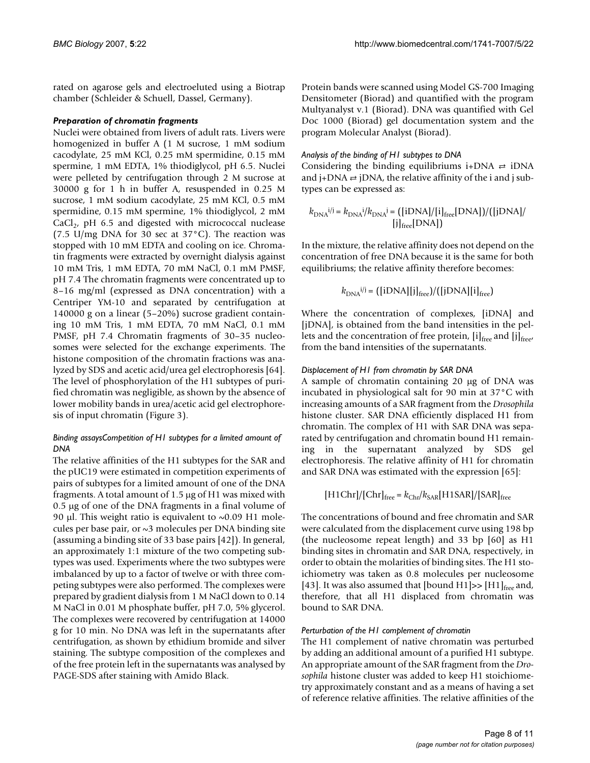rated on agarose gels and electroeluted using a Biotrap chamber (Schleider & Schuell, Dassel, Germany).

#### *Preparation of chromatin fragments*

Nuclei were obtained from livers of adult rats. Livers were homogenized in buffer A (1 M sucrose, 1 mM sodium cacodylate, 25 mM KCl, 0.25 mM spermidine, 0.15 mM spermine, 1 mM EDTA, 1% thiodiglycol, pH 6.5. Nuclei were pelleted by centrifugation through 2 M sucrose at 30000 g for 1 h in buffer A, resuspended in 0.25 M sucrose, 1 mM sodium cacodylate, 25 mM KCl, 0.5 mM spermidine, 0.15 mM spermine, 1% thiodiglycol, 2 mM  $CaCl<sub>2</sub>$ , pH 6.5 and digested with micrococcal nuclease (7.5 U/mg DNA for 30 sec at 37°C). The reaction was stopped with 10 mM EDTA and cooling on ice. Chromatin fragments were extracted by overnight dialysis against 10 mM Tris, 1 mM EDTA, 70 mM NaCl, 0.1 mM PMSF, pH 7.4 The chromatin fragments were concentrated up to 8–16 mg/ml (expressed as DNA concentration) with a Centriper YM-10 and separated by centrifugation at 140000 g on a linear (5–20%) sucrose gradient containing 10 mM Tris, 1 mM EDTA, 70 mM NaCl, 0.1 mM PMSF, pH 7.4 Chromatin fragments of 30–35 nucleosomes were selected for the exchange experiments. The histone composition of the chromatin fractions was analyzed by SDS and acetic acid/urea gel electrophoresis [64]. The level of phosphorylation of the H1 subtypes of purified chromatin was negligible, as shown by the absence of lower mobility bands in urea/acetic acid gel electrophoresis of input chromatin (Figure 3).

#### *Binding assaysCompetition of H1 subtypes for a limited amount of DNA*

The relative affinities of the H1 subtypes for the SAR and the pUC19 were estimated in competition experiments of pairs of subtypes for a limited amount of one of the DNA fragments. A total amount of 1.5 μg of H1 was mixed with 0.5 μg of one of the DNA fragments in a final volume of 90 μl. This weight ratio is equivalent to  $~0.09$  H1 molecules per base pair, or  $\sim$ 3 molecules per DNA binding site (assuming a binding site of 33 base pairs [42]). In general, an approximately 1:1 mixture of the two competing subtypes was used. Experiments where the two subtypes were imbalanced by up to a factor of twelve or with three competing subtypes were also performed. The complexes were prepared by gradient dialysis from 1 M NaCl down to 0.14 M NaCl in 0.01 M phosphate buffer, pH 7.0, 5% glycerol. The complexes were recovered by centrifugation at 14000 g for 10 min. No DNA was left in the supernatants after centrifugation, as shown by ethidium bromide and silver staining. The subtype composition of the complexes and of the free protein left in the supernatants was analysed by PAGE-SDS after staining with Amido Black.

Protein bands were scanned using Model GS-700 Imaging Densitometer (Biorad) and quantified with the program Multyanalyst v.1 (Biorad). DNA was quantified with Gel Doc 1000 (Biorad) gel documentation system and the program Molecular Analyst (Biorad).

# *Analysis of the binding of H1 subtypes to DNA*

Considering the binding equilibriums i+DNA  $\rightleftharpoons$  iDNA and  $j+DNA \rightleftarrows jDNA$ , the relative affinity of the i and j subtypes can be expressed as:

$$
k_{\text{DNA}}^{i/j} = k_{\text{DNA}}^{i}/k_{\text{DNA}}^{j} = \left(\frac{[i\text{DNA}]}{[i]_{\text{free}}^{[DNA]}}\right) / \left(\frac{[j\text{DNA}]}{[DNA]}\right)
$$

In the mixture, the relative affinity does not depend on the concentration of free DNA because it is the same for both equilibriums; the relative affinity therefore becomes:

$$
k_{\text{DNA}}^{i/j} = ([iDNA][j]_{\text{free}})/([jDNA][i]_{\text{free}})
$$

Where the concentration of complexes, [iDNA] and [jDNA], is obtained from the band intensities in the pellets and the concentration of free protein,  $[i]_{\text{free}}$  and  $[j]_{\text{free}}$ , from the band intensities of the supernatants.

#### *Displacement of H1 from chromatin by SAR DNA*

A sample of chromatin containing 20 μg of DNA was incubated in physiological salt for 90 min at 37°C with increasing amounts of a SAR fragment from the *Drosophila* histone cluster. SAR DNA efficiently displaced H1 from chromatin. The complex of H1 with SAR DNA was separated by centrifugation and chromatin bound H1 remaining in the supernatant analyzed by SDS gel electrophoresis. The relative affinity of H1 for chromatin and SAR DNA was estimated with the expression [65]:

$$
[H1Chr]/[Chr]free = kChr/kSAR[H1SAR]/[SAR]free
$$

The concentrations of bound and free chromatin and SAR were calculated from the displacement curve using 198 bp (the nucleosome repeat length) and 33 bp [60] as H1 binding sites in chromatin and SAR DNA, respectively, in order to obtain the molarities of binding sites. The H1 stoichiometry was taken as 0.8 molecules per nucleosome [43]. It was also assumed that [bound H1] $>$  [H1]<sub>free</sub> and, therefore, that all H1 displaced from chromatin was bound to SAR DNA.

#### *Perturbation of the H1 complement of chromatin*

The H1 complement of native chromatin was perturbed by adding an additional amount of a purified H1 subtype. An appropriate amount of the SAR fragment from the *Drosophila* histone cluster was added to keep H1 stoichiometry approximately constant and as a means of having a set of reference relative affinities. The relative affinities of the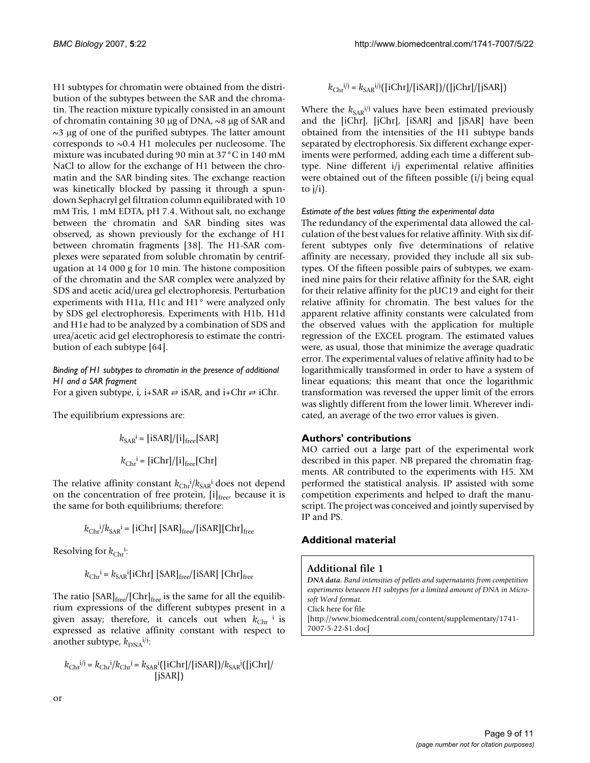H1 subtypes for chromatin were obtained from the distribution of the subtypes between the SAR and the chromatin. The reaction mixture typically consisted in an amount of chromatin containing 30 μg of DNA, ~8 μg of SAR and  $\sim$ 3 μg of one of the purified subtypes. The latter amount corresponds to ~0.4 H1 molecules per nucleosome. The mixture was incubated during 90 min at 37°C in 140 mM NaCl to allow for the exchange of H1 between the chromatin and the SAR binding sites. The exchange reaction was kinetically blocked by passing it through a spundown Sephacryl gel filtration column equilibrated with 10 mM Tris, 1 mM EDTA, pH 7.4. Without salt, no exchange between the chromatin and SAR binding sites was observed, as shown previously for the exchange of H1 between chromatin fragments [38]. The H1-SAR complexes were separated from soluble chromatin by centrifugation at 14 000 g for 10 min. The histone composition of the chromatin and the SAR complex were analyzed by SDS and acetic acid/urea gel electrophoresis. Perturbation experiments with H1a, H1c and H1° were analyzed only by SDS gel electrophoresis. Experiments with H1b, H1d and H1e had to be analyzed by a combination of SDS and urea/acetic acid gel electrophoresis to estimate the contribution of each subtype [64].

# *Binding of H1 subtypes to chromatin in the presence of additional H1 and a SAR fragment*

For a given subtype, i, i+SAR  $\Rightarrow$  iSAR, and i+Chr  $\Rightarrow$  iChr.

The equilibrium expressions are:

$$
k_{\text{SAR}}^i = \frac{[i\text{SAR}]}{[i]_{\text{free}}^[ \text{SAR}]} k_{\text{Chr}}^i = \frac{[i\text{Chr}]}{[i]_{\text{free}}^[ \text{Chr}]}
$$

The relative affinity constant  $k_{\text{Chr}}^i / k_{\text{SAR}}^i$  does not depend on the concentration of free protein,  $[i]_{\text{free}}$  because it is the same for both equilibriums; therefore:

$$
k_{\text{Chr}}{}^{i}/k_{\text{SAR}}{}^{i} = [i\text{Chr}] [S\text{AR}]_{\text{free}}/[i\text{SAR}] [ \text{Chr}]_{\text{free}}
$$

Resolving for  $k_{\text{Chr}}$ <sup>i</sup>:

$$
k_{\text{Chr}}^i = k_{\text{SAR}}^i[\text{iChr}] [\text{SAR}]_{\text{free}}/[\text{iSAR}] [\text{Chr}]_{\text{free}}
$$

The ratio  $[\mathrm{SAR}]_\mathrm{free}/[\mathrm{Chr}]_\mathrm{free}$  is the same for all the equilibrium expressions of the different subtypes present in a given assay; therefore, it cancels out when  $k_{\text{Chr}}$  i is expressed as relative affinity constant with respect to another subtype,  $k_{\text{DNA}}^{i/j}$ :

$$
k_{\text{Chr}}^{ij} = k_{\text{Chr}}^{i}/k_{\text{Chr}}^{j} = k_{\text{SAR}}^{i}([i\text{Chr}]/[i\text{SAR}])/k_{\text{SAR}}^{j}([j\text{Chr}]/[i\text{SAR}]))
$$

 $k_{\text{Chr}}^{ij} = k_{\text{SAR}}^{ij}([i\text{Chr}]/[i\text{SAR}])/([j\text{Chr}]/[j\text{SAR}])$ 

Where the  $k_{SAR}$ <sup>i/j</sup> values have been estimated previously and the [iChr], [jChr], [iSAR] and [jSAR] have been obtained from the intensities of the H1 subtype bands separated by electrophoresis. Six different exchange experiments were performed, adding each time a different subtype. Nine different i/j experimental relative affinities were obtained out of the fifteen possible (i/j being equal to  $i/i$ ).

#### *Estimate of the best values fitting the experimental data*

The redundancy of the experimental data allowed the calculation of the best values for relative affinity. With six different subtypes only five determinations of relative affinity are necessary, provided they include all six subtypes. Of the fifteen possible pairs of subtypes, we examined nine pairs for their relative affinity for the SAR, eight for their relative affinity for the pUC19 and eight for their relative affinity for chromatin. The best values for the apparent relative affinity constants were calculated from the observed values with the application for multiple regression of the EXCEL program. The estimated values were, as usual, those that minimize the average quadratic error. The experimental values of relative affinity had to be logarithmically transformed in order to have a system of linear equations; this meant that once the logarithmic transformation was reversed the upper limit of the errors was slightly different from the lower limit. Wherever indicated, an average of the two error values is given.

# **Authors' contributions**

MO carried out a large part of the experimental work described in this paper. NB prepared the chromatin fragments. AR contributed to the experiments with H5. XM performed the statistical analysis. IP assisted with some competition experiments and helped to draft the manuscript. The project was conceived and jointly supervised by IP and PS.

### **Additional material**

### **Additional file 1**

*DNA data. Band intensities of pellets and supernatants from competition experiments between H1 subtypes for a limited amount of DNA in Microsoft Word format.* Click here for file [\[http://www.biomedcentral.com/content/supplementary/1741-](http://www.biomedcentral.com/content/supplementary/1741-7007-5-22-S1.doc) 7007-5-22-S1.doc]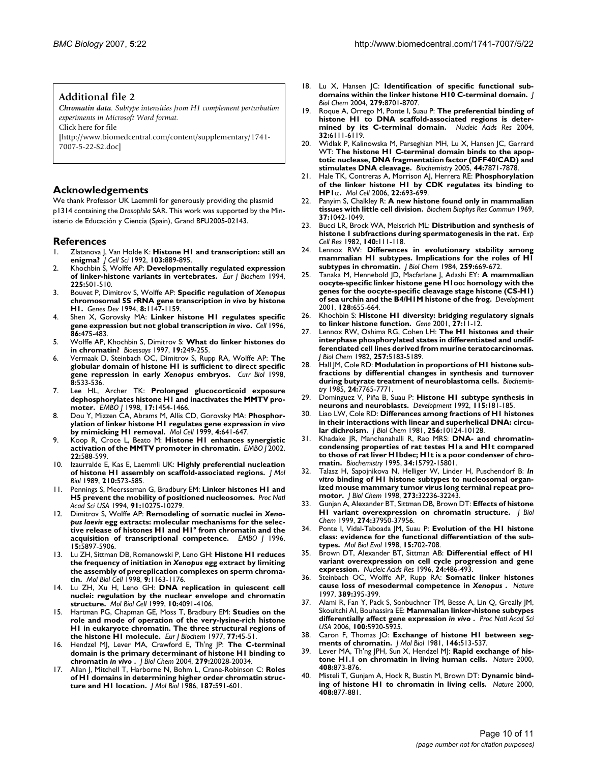#### **Additional file 2**

*Chromatin data. Subtype intensities from H1 complement perturbation experiments in Microsoft Word format.* Click here for file

[\[http://www.biomedcentral.com/content/supplementary/1741-](http://www.biomedcentral.com/content/supplementary/1741-7007-5-22-S2.doc) 7007-5-22-S2.doc]

### **Acknowledgements**

We thank Professor UK Laemmli for generously providing the plasmid p1314 containing the *Drosophila* SAR. This work was supported by the Ministerio de Educación y Ciencia (Spain), Grand BFU2005-02143.

#### **References**

- 1. Zlatanova J, Van Holde K: **[Histone H1 and transcription: still an](http://www.ncbi.nlm.nih.gov/entrez/query.fcgi?cmd=Retrieve&db=PubMed&dopt=Abstract&list_uids=1487502) [enigma?](http://www.ncbi.nlm.nih.gov/entrez/query.fcgi?cmd=Retrieve&db=PubMed&dopt=Abstract&list_uids=1487502)** *J Cell Sci* 1992, **103:**889-895.
- 2. Khochbin S, Wolffe AP: **[Developmentally regulated expression](http://www.ncbi.nlm.nih.gov/entrez/query.fcgi?cmd=Retrieve&db=PubMed&dopt=Abstract&list_uids=7957165) [of linker-histone variants in vertebrates.](http://www.ncbi.nlm.nih.gov/entrez/query.fcgi?cmd=Retrieve&db=PubMed&dopt=Abstract&list_uids=7957165)** *Eur J Biochem* 1994, **225:**501-510.
- 3. Bouvet P, Dimitrov S, Wolffe AP: **Specific regulation of** *Xenopus* **chromosomal 5S rRNA gene transcription** *in vivo* **[by histone](http://www.ncbi.nlm.nih.gov/entrez/query.fcgi?cmd=Retrieve&db=PubMed&dopt=Abstract&list_uids=7926720) [H1.](http://www.ncbi.nlm.nih.gov/entrez/query.fcgi?cmd=Retrieve&db=PubMed&dopt=Abstract&list_uids=7926720)** *Genes Dev* 1994, **8:**1147-1159.
- 4. Shen X, Gorovsky MA: **Linker histone H1 regulates specific gene expression but not global transcription** *in vivo***[.](http://www.ncbi.nlm.nih.gov/entrez/query.fcgi?cmd=Retrieve&db=PubMed&dopt=Abstract&list_uids=8756729)** *Cell* 1996, **86:**475-483.
- 5. Wolffe AP, Khochbin S, Dimitrov S: **[What do linker histones do](http://www.ncbi.nlm.nih.gov/entrez/query.fcgi?cmd=Retrieve&db=PubMed&dopt=Abstract&list_uids=9080775) [in chromatin?](http://www.ncbi.nlm.nih.gov/entrez/query.fcgi?cmd=Retrieve&db=PubMed&dopt=Abstract&list_uids=9080775)** *Bioessays* 1997, **19:**249-255.
- 6. Vermaak D, Steinbach OC, Dimitrov S, Rupp RA, Wolffe AP: **The globular domain of histone H1 is sufficient to direct specific gene repression in early** *Xenopus* **[embryos.](http://www.ncbi.nlm.nih.gov/entrez/query.fcgi?cmd=Retrieve&db=PubMed&dopt=Abstract&list_uids=9560345)** *Curr Biol* 1998, **8:**533-536.
- 7. Lee HL, Archer TK: **[Prolonged glucocorticoid exposure](http://www.ncbi.nlm.nih.gov/entrez/query.fcgi?cmd=Retrieve&db=PubMed&dopt=Abstract&list_uids=9482742) [dephosphorylates histone H1 and inactivates the MMTV pro](http://www.ncbi.nlm.nih.gov/entrez/query.fcgi?cmd=Retrieve&db=PubMed&dopt=Abstract&list_uids=9482742)[moter.](http://www.ncbi.nlm.nih.gov/entrez/query.fcgi?cmd=Retrieve&db=PubMed&dopt=Abstract&list_uids=9482742)** *EMBO J* 1998, **17:**1454-1466.
- 8. Dou Y, Mizzen CA, Abrams M, Allis CD, Gorovsky MA: **Phosphorylation of linker histone H1 regulates gene expression** *in vivo* **[by mimicking H1 removal.](http://www.ncbi.nlm.nih.gov/entrez/query.fcgi?cmd=Retrieve&db=PubMed&dopt=Abstract&list_uids=10549296)** *Mol Cell* 1999, **4:**641-647.
- 9. Koop R, Croce L, Beato M: **Histone H1 enhances synergistic activation of the MMTV promoter in chromatin.** *EMBO J* 2002, **22:**588-599.
- 10. Izaurralde E, Kas E, Laemmli UK: **[Highly preferential nucleation](http://www.ncbi.nlm.nih.gov/entrez/query.fcgi?cmd=Retrieve&db=PubMed&dopt=Abstract&list_uids=2614834) [of histone H1 assembly on scaffold-associated regions.](http://www.ncbi.nlm.nih.gov/entrez/query.fcgi?cmd=Retrieve&db=PubMed&dopt=Abstract&list_uids=2614834)** *J Mol Biol* 1989, **210:**573-585.
- 11. Pennings S, Meersseman G, Bradbury EM: **[Linker histones H1 and](http://www.ncbi.nlm.nih.gov/entrez/query.fcgi?cmd=Retrieve&db=PubMed&dopt=Abstract&list_uids=7937940) [H5 prevent the mobility of positioned nucleosomes.](http://www.ncbi.nlm.nih.gov/entrez/query.fcgi?cmd=Retrieve&db=PubMed&dopt=Abstract&list_uids=7937940)** *Proc Natl Acad Sci USA* 1994, **91:**10275-10279.
- 12. Dimitrov S, Wolffe AP: **Remodeling of somatic nuclei in** *Xenopus laevis* **[egg extracts: molecular mechanisms for the selec](http://www.ncbi.nlm.nih.gov/entrez/query.fcgi?cmd=Retrieve&db=PubMed&dopt=Abstract&list_uids=8918467)[tive release of histones H1 and H1° from chromatin and the](http://www.ncbi.nlm.nih.gov/entrez/query.fcgi?cmd=Retrieve&db=PubMed&dopt=Abstract&list_uids=8918467) [acquisition of transcriptional competence.](http://www.ncbi.nlm.nih.gov/entrez/query.fcgi?cmd=Retrieve&db=PubMed&dopt=Abstract&list_uids=8918467)** *EMBO J* 1996, **15:**5897-5906.
- 13. Lu ZH, Sittman DB, Romanowski P, Leno GH: **Histone H1 reduces the frequency of initiation in** *Xenopus* **[egg extract by limiting](http://www.ncbi.nlm.nih.gov/entrez/query.fcgi?cmd=Retrieve&db=PubMed&dopt=Abstract&list_uids=9571247) [the assembly of prereplication complexes on sperm chroma](http://www.ncbi.nlm.nih.gov/entrez/query.fcgi?cmd=Retrieve&db=PubMed&dopt=Abstract&list_uids=9571247)[tin.](http://www.ncbi.nlm.nih.gov/entrez/query.fcgi?cmd=Retrieve&db=PubMed&dopt=Abstract&list_uids=9571247)** *Mol Biol Cell* 1998, **9:**1163-1176.
- 14. Lu ZH, Xu H, Leno GH: **[DNA replication in quiescent cell](http://www.ncbi.nlm.nih.gov/entrez/query.fcgi?cmd=Retrieve&db=PubMed&dopt=Abstract&list_uids=10588645) [nuclei: regulation by the nuclear envelope and chromatin](http://www.ncbi.nlm.nih.gov/entrez/query.fcgi?cmd=Retrieve&db=PubMed&dopt=Abstract&list_uids=10588645) [structure.](http://www.ncbi.nlm.nih.gov/entrez/query.fcgi?cmd=Retrieve&db=PubMed&dopt=Abstract&list_uids=10588645)** *Mol Biol Cell* 1999, **10:**4091-4106.
- 15. Hartman PG, Chapman GE, Moss T, Bradbury EM: **[Studies on the](http://www.ncbi.nlm.nih.gov/entrez/query.fcgi?cmd=Retrieve&db=PubMed&dopt=Abstract&list_uids=908338) [role and mode of operation of the very-lysine-rich histone](http://www.ncbi.nlm.nih.gov/entrez/query.fcgi?cmd=Retrieve&db=PubMed&dopt=Abstract&list_uids=908338) H1 in eukaryote chromatin. The three structural regions of [the histone H1 molecule.](http://www.ncbi.nlm.nih.gov/entrez/query.fcgi?cmd=Retrieve&db=PubMed&dopt=Abstract&list_uids=908338)** *Eur J Biochem* 1977, **77:**45-51.
- 16. Hendzel MJ, Lever MA, Crawford E, Th'ng JP: **The C-terminal domain is the primary determinant of histone H1 binding to chromatin** *in vivo* **[.](http://www.ncbi.nlm.nih.gov/entrez/query.fcgi?cmd=Retrieve&db=PubMed&dopt=Abstract&list_uids=14985337)** *J Biol Chem* 2004, **279:**20028-20034.
- 17. Allan J, Mitchell T, Harborne N, Bohm L, Crane-Robinson C: **[Roles](http://www.ncbi.nlm.nih.gov/entrez/query.fcgi?cmd=Retrieve&db=PubMed&dopt=Abstract&list_uids=3458926) [of H1 domains in determining higher order chromatin struc](http://www.ncbi.nlm.nih.gov/entrez/query.fcgi?cmd=Retrieve&db=PubMed&dopt=Abstract&list_uids=3458926)[ture and H1 location.](http://www.ncbi.nlm.nih.gov/entrez/query.fcgi?cmd=Retrieve&db=PubMed&dopt=Abstract&list_uids=3458926)** *J Mol Biol* 1986, **187:**591-601.
- 18. Lu X, Hansen JC: **[Identification of specific functional sub](http://www.ncbi.nlm.nih.gov/entrez/query.fcgi?cmd=Retrieve&db=PubMed&dopt=Abstract&list_uids=14668337)[domains within the linker histone H10 C-terminal domain.](http://www.ncbi.nlm.nih.gov/entrez/query.fcgi?cmd=Retrieve&db=PubMed&dopt=Abstract&list_uids=14668337)** *J Biol Chem* 2004, **279:**8701-8707.
- 19. Roque A, Orrego M, Ponte I, Suau P: **[The preferential binding of](http://www.ncbi.nlm.nih.gov/entrez/query.fcgi?cmd=Retrieve&db=PubMed&dopt=Abstract&list_uids=15562002) [histone H1 to DNA scaffold-associated regions is deter](http://www.ncbi.nlm.nih.gov/entrez/query.fcgi?cmd=Retrieve&db=PubMed&dopt=Abstract&list_uids=15562002)[mined by its C-terminal domain.](http://www.ncbi.nlm.nih.gov/entrez/query.fcgi?cmd=Retrieve&db=PubMed&dopt=Abstract&list_uids=15562002)** *Nucleic Acids Res* 2004, **32:**6111-6119.
- 20. Widlak P, Kalinowska M, Parseghian MH, Lu X, Hansen JC, Garrard WT: **[The histone H1 C-terminal domain binds to the apop](http://www.ncbi.nlm.nih.gov/entrez/query.fcgi?cmd=Retrieve&db=PubMed&dopt=Abstract&list_uids=15910001)[totic nuclease, DNA fragmentation factor \(DFF40/CAD\) and](http://www.ncbi.nlm.nih.gov/entrez/query.fcgi?cmd=Retrieve&db=PubMed&dopt=Abstract&list_uids=15910001) [stimulates DNA cleavage.](http://www.ncbi.nlm.nih.gov/entrez/query.fcgi?cmd=Retrieve&db=PubMed&dopt=Abstract&list_uids=15910001)** *Biochemistry* 2005, **44:**7871-7878.
- 21. Hale TK, Contreras A, Morrison AJ, Herrera RE: **Phosphorylation of the linker histone H1 by CDK regulates its binding to HP1**α**[.](http://www.ncbi.nlm.nih.gov/entrez/query.fcgi?cmd=Retrieve&db=PubMed&dopt=Abstract&list_uids=16762841)** *Mol Cell* 2006, **22:**693-699.
- 22. Panyim S, Chalkley R: **[A new histone found only in mammalian](http://www.ncbi.nlm.nih.gov/entrez/query.fcgi?cmd=Retrieve&db=PubMed&dopt=Abstract&list_uids=5391215) [tissues with little cell division.](http://www.ncbi.nlm.nih.gov/entrez/query.fcgi?cmd=Retrieve&db=PubMed&dopt=Abstract&list_uids=5391215)** *Biochem Biophys Res Commun* 1969, **37:**1042-1049.
- 23. Bucci LR, Brock WA, Meistrich ML: **[Distribution and synthesis of](http://www.ncbi.nlm.nih.gov/entrez/query.fcgi?cmd=Retrieve&db=PubMed&dopt=Abstract&list_uids=7106196) [histone 1 subfractions during spermatogenesis in the rat.](http://www.ncbi.nlm.nih.gov/entrez/query.fcgi?cmd=Retrieve&db=PubMed&dopt=Abstract&list_uids=7106196)** *Exp Cell Res* 1982, **140:**111-118.
- 24. Lennox RW: **[Differences in evolutionary stability among](http://www.ncbi.nlm.nih.gov/entrez/query.fcgi?cmd=Retrieve&db=PubMed&dopt=Abstract&list_uids=6706958) [mammalian H1 subtypes. Implications for the roles of H1](http://www.ncbi.nlm.nih.gov/entrez/query.fcgi?cmd=Retrieve&db=PubMed&dopt=Abstract&list_uids=6706958) [subtypes in chromatin.](http://www.ncbi.nlm.nih.gov/entrez/query.fcgi?cmd=Retrieve&db=PubMed&dopt=Abstract&list_uids=6706958)** *J Biol Chem* 1984, **259:**669-672.
- 25. Tanaka M, Hennebold JD, Macfarlane J, Adashi EY: **[A mammalian](http://www.ncbi.nlm.nih.gov/entrez/query.fcgi?cmd=Retrieve&db=PubMed&dopt=Abstract&list_uids=11171391) [oocyte-specific linker histone gene H1oo: homology with the](http://www.ncbi.nlm.nih.gov/entrez/query.fcgi?cmd=Retrieve&db=PubMed&dopt=Abstract&list_uids=11171391) genes for the oocyte-specific cleavage stage histone (CS-H1) [of sea urchin and the B4/H1M histone of the frog.](http://www.ncbi.nlm.nih.gov/entrez/query.fcgi?cmd=Retrieve&db=PubMed&dopt=Abstract&list_uids=11171391)** *Development* 2001, **128:**655-664.
- 26. Khochbin S: **Histone H1 diversity: bridging regulatory signals to linker histone function.** *Gene* 2001, **27:**11-12.
- 27. Lennox RW, Oshima RG, Cohen LH: **[The H1 histones and their](http://www.ncbi.nlm.nih.gov/entrez/query.fcgi?cmd=Retrieve&db=PubMed&dopt=Abstract&list_uids=7068681) [interphase phosphorylated states in differentiated and undif](http://www.ncbi.nlm.nih.gov/entrez/query.fcgi?cmd=Retrieve&db=PubMed&dopt=Abstract&list_uids=7068681)ferentiated cell lines derived from murine teratocarcinomas.** *J Biol Chem* 1982, **257:**5183-5189.
- 28. Hall JM, Cole RD: **[Modulation in proportions of H1 histone sub](http://www.ncbi.nlm.nih.gov/entrez/query.fcgi?cmd=Retrieve&db=PubMed&dopt=Abstract&list_uids=4092037)[fractions by differential changes in synthesis and turnover](http://www.ncbi.nlm.nih.gov/entrez/query.fcgi?cmd=Retrieve&db=PubMed&dopt=Abstract&list_uids=4092037) [during butyrate treatment of neuroblastoma cells.](http://www.ncbi.nlm.nih.gov/entrez/query.fcgi?cmd=Retrieve&db=PubMed&dopt=Abstract&list_uids=4092037)** *Biochemistry* 1985, **24:**7765-7771.
- 29. Domínguez V, Piña B, Suau P: **[Histone H1 subtype synthesis in](http://www.ncbi.nlm.nih.gov/entrez/query.fcgi?cmd=Retrieve&db=PubMed&dopt=Abstract&list_uids=1638979) [neurons and neuroblasts.](http://www.ncbi.nlm.nih.gov/entrez/query.fcgi?cmd=Retrieve&db=PubMed&dopt=Abstract&list_uids=1638979)** *Development* 1992, **115:**181-185.
- 30. Liao LW, Cole RD: **[Differences among fractions of H1 histones](http://www.ncbi.nlm.nih.gov/entrez/query.fcgi?cmd=Retrieve&db=PubMed&dopt=Abstract&list_uids=7275970) [in their interactions with linear and superhelical DNA: circu](http://www.ncbi.nlm.nih.gov/entrez/query.fcgi?cmd=Retrieve&db=PubMed&dopt=Abstract&list_uids=7275970)[lar dichroism.](http://www.ncbi.nlm.nih.gov/entrez/query.fcgi?cmd=Retrieve&db=PubMed&dopt=Abstract&list_uids=7275970)** *J Biol Chem* 1981, **256:**10124-10128.
- 31. Khadake JR, Manchanahalli R, Rao MRS: **[DNA- and chromatin](http://www.ncbi.nlm.nih.gov/entrez/query.fcgi?cmd=Retrieve&db=PubMed&dopt=Abstract&list_uids=7495811)[condensing properties of rat testes H1a and H1t compared](http://www.ncbi.nlm.nih.gov/entrez/query.fcgi?cmd=Retrieve&db=PubMed&dopt=Abstract&list_uids=7495811) to those of rat liver H1bdec; H1t is a poor condenser of chro[matin.](http://www.ncbi.nlm.nih.gov/entrez/query.fcgi?cmd=Retrieve&db=PubMed&dopt=Abstract&list_uids=7495811)** *Biochemistry* 1995, **34:**15792-15801.
- 32. Talasz H, Sapojnikova N, Helliger W, Linder H, Puschendorf B: *In vitro* **[binding of H1 histone subtypes to nucleosomal organ](http://www.ncbi.nlm.nih.gov/entrez/query.fcgi?cmd=Retrieve&db=PubMed&dopt=Abstract&list_uids=9822702)[ized mouse mammary tumor virus long terminal repeat pro](http://www.ncbi.nlm.nih.gov/entrez/query.fcgi?cmd=Retrieve&db=PubMed&dopt=Abstract&list_uids=9822702)[motor.](http://www.ncbi.nlm.nih.gov/entrez/query.fcgi?cmd=Retrieve&db=PubMed&dopt=Abstract&list_uids=9822702)** *J Biol Chem* 1998, **273:**32236-32243.
- 33. Gunjan A, Alexander BT, Sittman DB, Brown DT: **[Effects of histone](http://www.ncbi.nlm.nih.gov/entrez/query.fcgi?cmd=Retrieve&db=PubMed&dopt=Abstract&list_uids=10608862) [H1 variant overexpression on chromatin structure.](http://www.ncbi.nlm.nih.gov/entrez/query.fcgi?cmd=Retrieve&db=PubMed&dopt=Abstract&list_uids=10608862)** *J Biol Chem* 1999, **274:**37950-37956.
- 34. Ponte I, Vidal-Taboada JM, Suau P: **[Evolution of the H1 histone](http://www.ncbi.nlm.nih.gov/entrez/query.fcgi?cmd=Retrieve&db=PubMed&dopt=Abstract&list_uids=9615451) [class: evidence for the functional differentiation of the sub](http://www.ncbi.nlm.nih.gov/entrez/query.fcgi?cmd=Retrieve&db=PubMed&dopt=Abstract&list_uids=9615451)[types.](http://www.ncbi.nlm.nih.gov/entrez/query.fcgi?cmd=Retrieve&db=PubMed&dopt=Abstract&list_uids=9615451)** *Mol Biol Evol* 1998, **15:**702-708.
- 35. Brown DT, Alexander BT, Sittman AB: **[Differential effect of H1](http://www.ncbi.nlm.nih.gov/entrez/query.fcgi?cmd=Retrieve&db=PubMed&dopt=Abstract&list_uids=8602362) [variant overexpression on cell cycle progression and gene](http://www.ncbi.nlm.nih.gov/entrez/query.fcgi?cmd=Retrieve&db=PubMed&dopt=Abstract&list_uids=8602362) [expression.](http://www.ncbi.nlm.nih.gov/entrez/query.fcgi?cmd=Retrieve&db=PubMed&dopt=Abstract&list_uids=8602362)** *Nucleic Acids Res* 1996, **24:**486-493.
- 36. Steinbach OC, Wolffe AP, Rupp RA: **Somatic linker histones cause loss of mesodermal competence in** *Xenopus* **[.](http://www.ncbi.nlm.nih.gov/entrez/query.fcgi?cmd=Retrieve&db=PubMed&dopt=Abstract&list_uids=9311783)** *Nature* 1997, **389:**395-399.
- 37. Alami R, Fan Y, Pack S, Sonbuchner TM, Besse A, Lin Q, Greally JM, Skoultchi AI, Bouhassira EE: **Mammalian linker-histone subtypes differentially affect gene expression** *in vivo* **.** *Proc Natl Acad Sci USA* 2006, **100:**5920-5925.
- Caron F, Thomas JO: [Exchange of histone H1 between seg](http://www.ncbi.nlm.nih.gov/entrez/query.fcgi?cmd=Retrieve&db=PubMed&dopt=Abstract&list_uids=7277492)**[ments of chromatin.](http://www.ncbi.nlm.nih.gov/entrez/query.fcgi?cmd=Retrieve&db=PubMed&dopt=Abstract&list_uids=7277492)** *J Mol Biol* 1981, **146:**513-537.
- 39. Lever MA, Th'ng JPH, Sun X, Hendzel MJ: **[Rapid exchange of his](http://www.ncbi.nlm.nih.gov/entrez/query.fcgi?cmd=Retrieve&db=PubMed&dopt=Abstract&list_uids=11130728)[tone H1.1 on chromatin in living human cells.](http://www.ncbi.nlm.nih.gov/entrez/query.fcgi?cmd=Retrieve&db=PubMed&dopt=Abstract&list_uids=11130728)** *Nature* 2000, **408:**873-876.
- Misteli T, Gunjam A, Hock R, Bustin M, Brown DT: [Dynamic bind](http://www.ncbi.nlm.nih.gov/entrez/query.fcgi?cmd=Retrieve&db=PubMed&dopt=Abstract&list_uids=11130729)**[ing of histone H1 to chromatin in living cells.](http://www.ncbi.nlm.nih.gov/entrez/query.fcgi?cmd=Retrieve&db=PubMed&dopt=Abstract&list_uids=11130729)** *Nature* 2000, **408:**877-881.